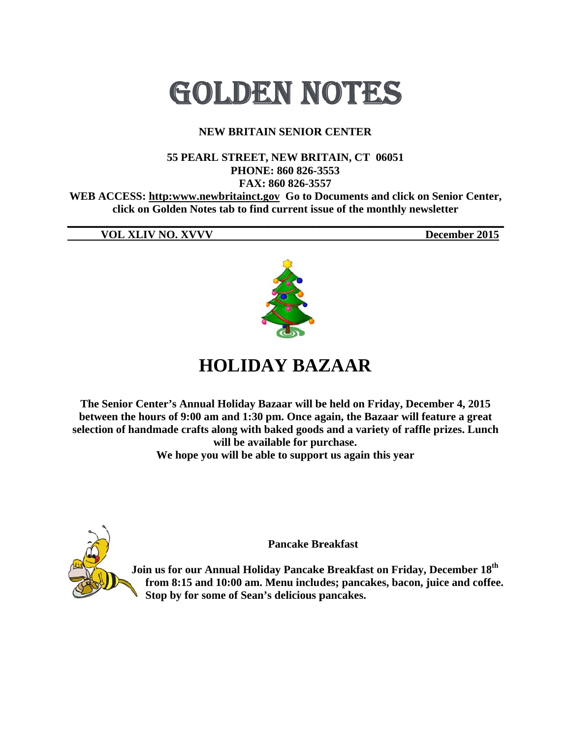# GOLDEN NOTES

#### **NEW BRITAIN SENIOR CENTER**

#### 55 PEARL STREET, NEW BRITAIN, CT 06051 PHONE: 860 826-3553 FAX: 860 826-3557 WEB ACCESS: http:www.newbritainct.gov Go to Documents and click on Senior Center, click on Golden Notes tab to find current issue of the monthly newsletter

**VOL XLIV NO. XVVV** 

December 2015



## **HOLIDAY BAZAAR**

The Senior Center's Annual Holiday Bazaar will be held on Friday, December 4, 2015 between the hours of 9:00 am and 1:30 pm. Once again, the Bazaar will feature a great selection of handmade crafts along with baked goods and a variety of raffle prizes. Lunch will be available for purchase.

We hope you will be able to support us again this year



**Pancake Breakfast** 

Join us for our Annual Holiday Pancake Breakfast on Friday, December 18<sup>th</sup> from 8:15 and 10:00 am. Menu includes; pancakes, bacon, juice and coffee. Stop by for some of Sean's delicious pancakes.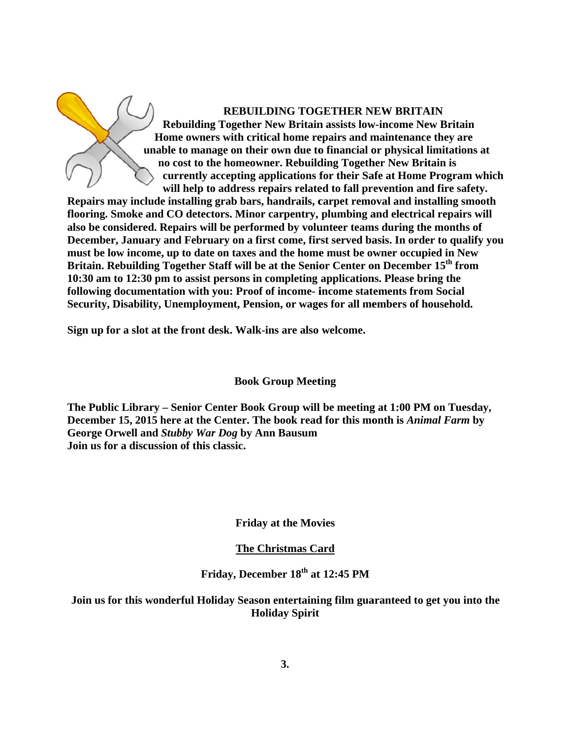Home owners with critical home repairs and maintenance they are unable to manage on their own due to financial or physical limitations at **no cost to the homeowner. Rebuilding Together New Britain is Rebuilding Together New Britain assists low-income New Britain** currently accepting applications for their Safe at Home Program which will help to address repairs related to fall prevention and fire safety. **REBUILDING TOGETHER NEW BRITAIN** 

**Repairs may include installing grab bars, handrails, carpet removal and installing smooth** flooring. Smoke and CO detectors. Minor carpentry, plumbing and electrical repairs will **also be c considered. Repairs wil ll be perform med by volu unteer team ms during th e months of** also be considered. Repairs will be performed by volunteer teams during the months of<br>December, January and February on a first come, first served basis. In order to qualify you must be low income, up to date on taxes and the home must be owner occupied in New Britain. Rebuilding Together Staff will be at the Senior Center on December 15<sup>th</sup> from 10:30 am to 12:30 pm to assist persons in completing applications. Please bring the following documentation with you: Proof of income- income statements from Social Security, Disability, Unemployment, Pension, or wages for all members of household.

Sign up for a slot at the front desk. Walk-ins are also welcome.

**Book G Group Meet ting**

The Public Library – Senior Center Book Group will be meeting at 1:00 PM on Tuesday, **December 15, 2015 here at the Center. The book read for this month is** *Animal Farm* **by** George Orwell and *Stubby War Dog* by Ann Bausum **Join us f for a discuss sion of this classic. yo the** 

#### **Friday at the Movies**

#### **The Christmas Card**

#### **Fri iday, Decem mber 18th at t 12:45 PM**

**Join us for this wonderful Holiday Season entertaining film guaranteed to get you into Hol liday Spirit**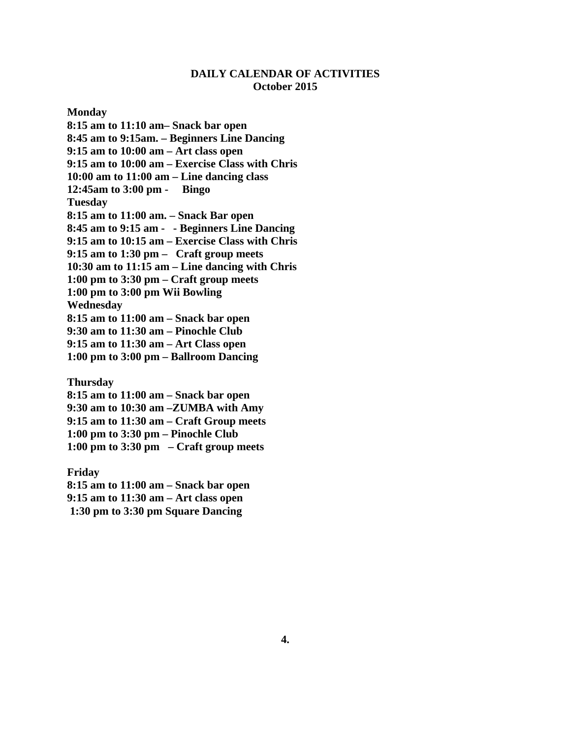#### **DAILY CALENDAR OF ACTIVITIES October 2015**

**Monday** 

**8:15 am to 11:10 am– Snack bar open 8:45 am to 9:15am. – Beginners Line Dancing 9:15 am to 10:00 am – Art class open 9:15 am to 10:00 am – Exercise Class with Chris 10:00 am to 11:00 am – Line dancing class 12:45am to 3:00 pm - Bingo Tuesday 8:15 am to 11:00 am. – Snack Bar open 8:45 am to 9:15 am - - Beginners Line Dancing 9:15 am to 10:15 am – Exercise Class with Chris 9:15 am to 1:30 pm – Craft group meets 10:30 am to 11:15 am – Line dancing with Chris 1:00 pm to 3:30 pm – Craft group meets 1:00 pm to 3:00 pm Wii Bowling Wednesday 8:15 am to 11:00 am – Snack bar open 9:30 am to 11:30 am – Pinochle Club 9:15 am to 11:30 am – Art Class open 1:00 pm to 3:00 pm – Ballroom Dancing** 

**Thursday** 

**8:15 am to 11:00 am – Snack bar open 9:30 am to 10:30 am –ZUMBA with Amy 9:15 am to 11:30 am – Craft Group meets 1:00 pm to 3:30 pm – Pinochle Club 1:00 pm to 3:30 pm – Craft group meets** 

**Friday 8:15 am to 11:00 am – Snack bar open 9:15 am to 11:30 am – Art class open 1:30 pm to 3:30 pm Square Dancing**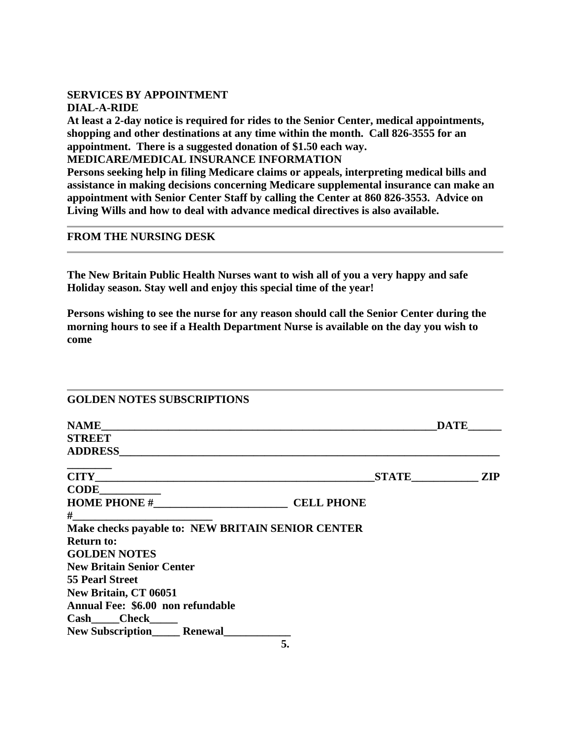#### **SERVICES BY APPOINTMENT**

**DIAL-A-RIDE** 

**At least a 2-day notice is required for rides to the Senior Center, medical appointments, shopping and other destinations at any time within the month. Call 826-3555 for an appointment. There is a suggested donation of \$1.50 each way.** 

**MEDICARE/MEDICAL INSURANCE INFORMATION** 

**Persons seeking help in filing Medicare claims or appeals, interpreting medical bills and assistance in making decisions concerning Medicare supplemental insurance can make an appointment with Senior Center Staff by calling the Center at 860 826-3553. Advice on Living Wills and how to deal with advance medical directives is also available.** 

#### **FROM THE NURSING DESK**

**The New Britain Public Health Nurses want to wish all of you a very happy and safe Holiday season. Stay well and enjoy this special time of the year!** 

**Persons wishing to see the nurse for any reason should call the Senior Center during the morning hours to see if a Health Department Nurse is available on the day you wish to come** 

| <b>GOLDEN NOTES SUBSCRIPTIONS</b>                                                                                                                                                                                              |                   |              |            |
|--------------------------------------------------------------------------------------------------------------------------------------------------------------------------------------------------------------------------------|-------------------|--------------|------------|
| NAME And the contract of the contract of the contract of the contract of the contract of the contract of the contract of the contract of the contract of the contract of the contract of the contract of the contract of the c |                   | <b>DATE</b>  |            |
| <b>STREET</b>                                                                                                                                                                                                                  |                   |              |            |
|                                                                                                                                                                                                                                |                   |              |            |
|                                                                                                                                                                                                                                |                   | <b>STATE</b> | <b>ZIP</b> |
| $CODE$ $\qquad \qquad$                                                                                                                                                                                                         |                   |              |            |
| HOME PHONE $\#$                                                                                                                                                                                                                | <b>CELL PHONE</b> |              |            |
| #____ <u>_________________________</u> _____                                                                                                                                                                                   |                   |              |            |
| Make checks payable to: NEW BRITAIN SENIOR CENTER                                                                                                                                                                              |                   |              |            |
| <b>Return to:</b>                                                                                                                                                                                                              |                   |              |            |
| <b>GOLDEN NOTES</b>                                                                                                                                                                                                            |                   |              |            |
| <b>New Britain Senior Center</b>                                                                                                                                                                                               |                   |              |            |
| <b>55 Pearl Street</b>                                                                                                                                                                                                         |                   |              |            |
| <b>New Britain, CT 06051</b>                                                                                                                                                                                                   |                   |              |            |
| Annual Fee: \$6.00 non refundable                                                                                                                                                                                              |                   |              |            |
| $Cash$ $Check$ $)$                                                                                                                                                                                                             |                   |              |            |
| New Subscription______ Renewal_                                                                                                                                                                                                |                   |              |            |
|                                                                                                                                                                                                                                | 5.                |              |            |